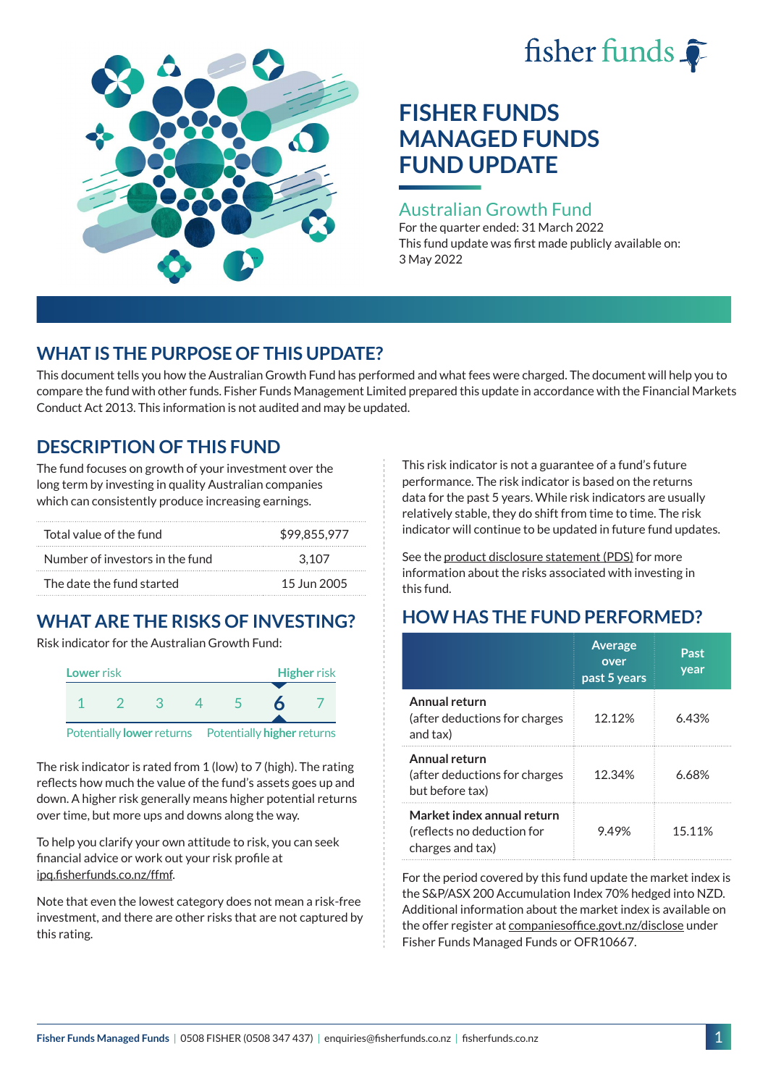# fisher funds  $\hat{\bullet}$



# **FISHER FUNDS MANAGED FUNDS FUND UPDATE**

## Australian Growth Fund

For the quarter ended: 31 March 2022 This fund update was first made publicly available on: 3 May 2022

# **WHAT IS THE PURPOSE OF THIS UPDATE?**

This document tells you how the Australian Growth Fund has performed and what fees were charged. The document will help you to compare the fund with other funds. Fisher Funds Management Limited prepared this update in accordance with the Financial Markets Conduct Act 2013. This information is not audited and may be updated.

# **DESCRIPTION OF THIS FUND**

The fund focuses on growth of your investment over the long term by investing in quality Australian companies which can consistently produce increasing earnings.

| Total value of the fund         | \$99.855.977 |  |  |
|---------------------------------|--------------|--|--|
| Number of investors in the fund | 3.107        |  |  |
| The date the fund started       | 15 Jun 2005  |  |  |

# **WHAT ARE THE RISKS OF INVESTING?**

Risk indicator for the Australian Growth Fund:



The risk indicator is rated from 1 (low) to 7 (high). The rating reflects how much the value of the fund's assets goes up and down. A higher risk generally means higher potential returns over time, but more ups and downs along the way.

To help you clarify your own attitude to risk, you can seek financial advice or work out your risk profile at [ipq.fisherfunds.co.nz/ffmf](https://ipq.fisherfunds.co.nz/ffmf).

Note that even the lowest category does not mean a risk-free investment, and there are other risks that are not captured by this rating.

This risk indicator is not a guarantee of a fund's future performance. The risk indicator is based on the returns data for the past 5 years. While risk indicators are usually relatively stable, they do shift from time to time. The risk indicator will continue to be updated in future fund updates.

See the [product disclosure statement \(PDS\)](https://fisherfunds.co.nz/assets/PDS/Fisher-Funds-Managed-Funds-PDS.pdf) for more information about the risks associated with investing in this fund.

# **HOW HAS THE FUND PERFORMED?**

|                                                                              | <b>Average</b><br>over<br>past 5 years | Past<br>year |
|------------------------------------------------------------------------------|----------------------------------------|--------------|
| Annual return<br>(after deductions for charges<br>and tax)                   | 12.12%                                 | 6.43%        |
| Annual return<br>(after deductions for charges<br>but before tax)            | 12.34%                                 | 6.68%        |
| Market index annual return<br>(reflects no deduction for<br>charges and tax) | 9.49%                                  | 15.11%       |

For the period covered by this fund update the market index is the S&P/ASX 200 Accumulation Index 70% hedged into NZD. Additional information about the market index is available on the offer register at [companiesoffice.govt.nz/disclose](http://companiesoffice.govt.nz/disclose) under Fisher Funds Managed Funds or OFR10667.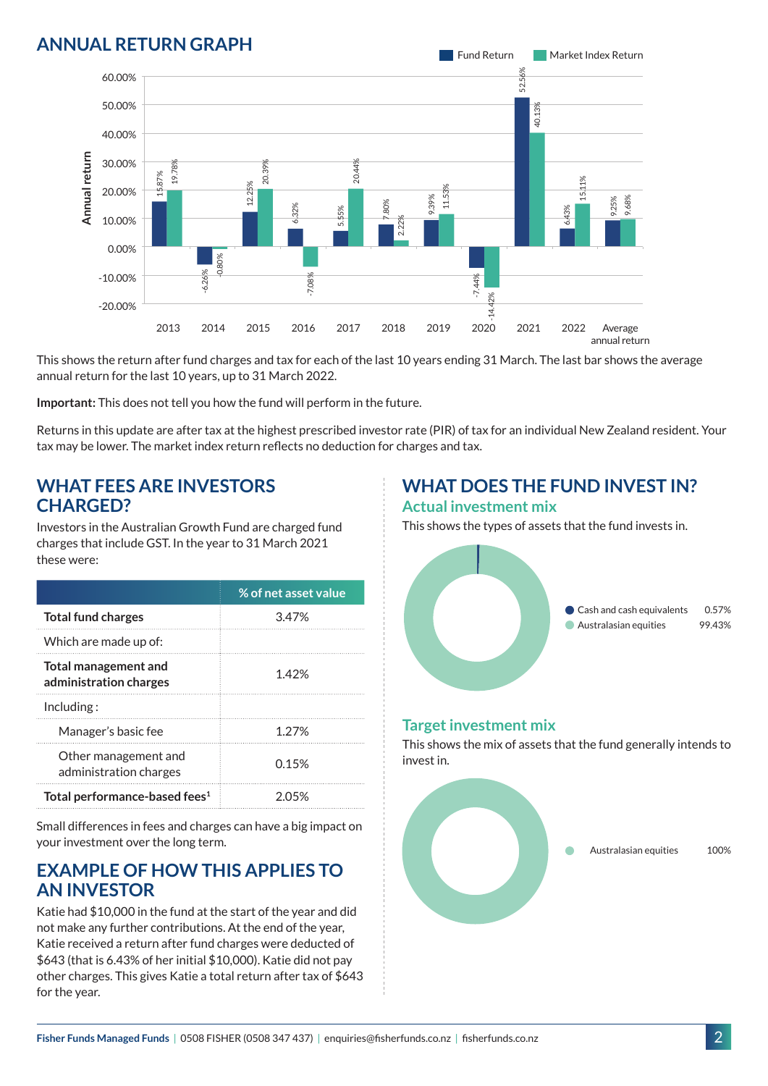## **ANNUAL RETURN GRAPH**



This shows the return after fund charges and tax for each of the last 10 years ending 31 March. The last bar shows the average annual return for the last 10 years, up to 31 March 2022.

**Important:** This does not tell you how the fund will perform in the future.

Returns in this update are after tax at the highest prescribed investor rate (PIR) of tax for an individual New Zealand resident. Your tax may be lower. The market index return reflects no deduction for charges and tax.

#### **WHAT FEES ARE INVESTORS CHARGED?**

Investors in the Australian Growth Fund are charged fund charges that include GST. In the year to 31 March 2021 these were:

|                                                       | % of net asset value |
|-------------------------------------------------------|----------------------|
| <b>Total fund charges</b>                             | 3.47%                |
| Which are made up of:                                 |                      |
| <b>Total management and</b><br>administration charges | 142%                 |
| Inding:                                               |                      |
| Manager's basic fee                                   | 1.27%                |
| Other management and<br>administration charges        | 0.15%                |
| Total performance-based fees <sup>1</sup>             | 205%                 |

Small differences in fees and charges can have a big impact on your investment over the long term.

#### **EXAMPLE OF HOW THIS APPLIES TO AN INVESTOR**

Katie had \$10,000 in the fund at the start of the year and did not make any further contributions. At the end of the year, Katie received a return after fund charges were deducted of \$643 (that is 6.43% of her initial \$10,000). Katie did not pay other charges. This gives Katie a total return after tax of \$643 for the year.

# **WHAT DOES THE FUND INVEST IN?**

#### **Actual investment mix**

This shows the types of assets that the fund invests in.



#### **Target investment mix**

This shows the mix of assets that the fund generally intends to invest in.